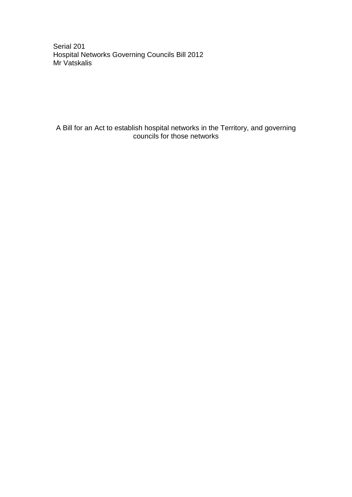Serial 201 Hospital Networks Governing Councils Bill 2012 Mr Vatskalis

A Bill for an Act to establish hospital networks in the Territory, and governing councils for those networks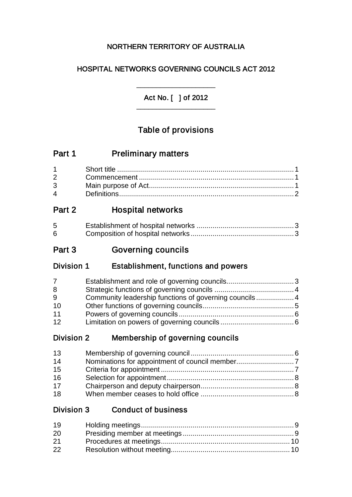# NORTHERN TERRITORY OF AUSTRALIA

# HOSPITAL NETWORKS GOVERNING COUNCILS ACT 2012

Act No. [ ] of 2012 \_\_\_\_\_\_\_\_\_\_\_\_\_\_\_\_\_\_\_\_

\_\_\_\_\_\_\_\_\_\_\_\_\_\_\_\_\_\_\_\_

# Table of provisions

| Part 1 | <b>Preliminary matters</b> |
|--------|----------------------------|
|--------|----------------------------|

| $3 \quad \blacksquare$ |  |
|------------------------|--|
| $\mathbf{\Lambda}$     |  |

# Part 2 Hospital networks

| 5 |  |
|---|--|
| 6 |  |

# Part 3 **Governing councils**

# Division 1 Establishment, functions and powers

| 7  |                                                        |  |
|----|--------------------------------------------------------|--|
| 8  |                                                        |  |
| 9  | Community leadership functions of governing councils 4 |  |
| 10 |                                                        |  |
| 11 |                                                        |  |
| 12 |                                                        |  |

# Division 2 Membership of governing councils

| 13 |  |
|----|--|
| 14 |  |
| 15 |  |
| 16 |  |
| 17 |  |
| 18 |  |

# Division 3 Conduct of business

| 19 |  |
|----|--|
| 20 |  |
| 21 |  |
| 22 |  |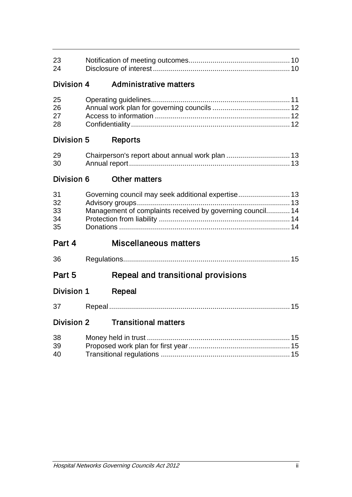| 23<br>24                   |  |                                                                                                                 |  |
|----------------------------|--|-----------------------------------------------------------------------------------------------------------------|--|
| <b>Division 4</b>          |  | Administrative matters                                                                                          |  |
| 25<br>26<br>27<br>28       |  |                                                                                                                 |  |
| Division 5                 |  | <b>Reports</b>                                                                                                  |  |
| 29<br>30                   |  |                                                                                                                 |  |
| Division 6                 |  | <b>Other matters</b>                                                                                            |  |
| 31<br>32<br>33<br>34<br>35 |  | Governing council may seek additional expertise 13<br>Management of complaints received by governing council 14 |  |
| Part 4                     |  | <b>Miscellaneous matters</b>                                                                                    |  |
| 36                         |  |                                                                                                                 |  |
| Part 5                     |  | Repeal and transitional provisions                                                                              |  |
| Division 1                 |  | <b>Repeal</b>                                                                                                   |  |
| 37                         |  |                                                                                                                 |  |
| <b>Division 2</b>          |  | <b>Transitional matters</b>                                                                                     |  |
| 38<br>39<br>40             |  |                                                                                                                 |  |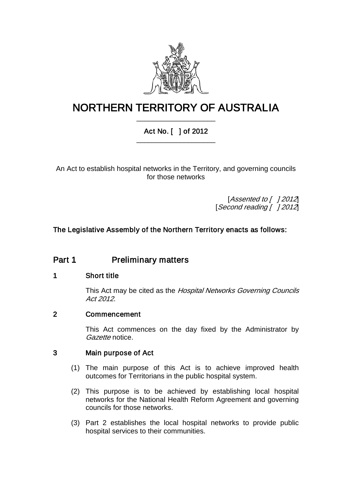

# NORTHERN TERRITORY OF AUSTRALIA \_\_\_\_\_\_\_\_\_\_\_\_\_\_\_\_\_\_\_\_

# Act No. [ ] of 2012 \_\_\_\_\_\_\_\_\_\_\_\_\_\_\_\_\_\_\_\_

An Act to establish hospital networks in the Territory, and governing councils for those networks

> [Assented to [ ] 2012] [Second reading [ ] 2012]

# The Legislative Assembly of the Northern Territory enacts as follows:

# Part 1 Preliminary matters

## 1 Short title

This Act may be cited as the Hospital Networks Governing Councils Act 2012.

## 2 Commencement

This Act commences on the day fixed by the Administrator by Gazette notice.

#### 3 Main purpose of Act

- (1) The main purpose of this Act is to achieve improved health outcomes for Territorians in the public hospital system.
- (2) This purpose is to be achieved by establishing local hospital networks for the National Health Reform Agreement and governing councils for those networks.
- (3) Part 2 establishes the local hospital networks to provide public hospital services to their communities.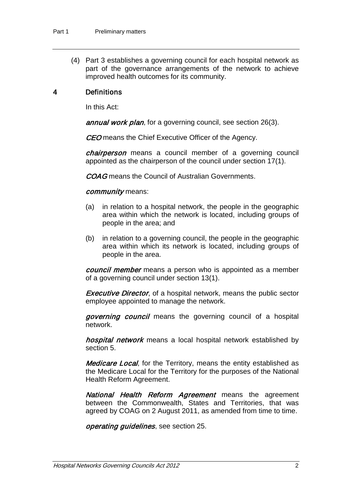(4) Part 3 establishes a governing council for each hospital network as part of the governance arrangements of the network to achieve improved health outcomes for its community.

## 4 Definitions

In this Act:

annual work plan, for a governing council, see section 26(3).

**CEO** means the Chief Executive Officer of the Agency.

chairperson means a council member of a governing council appointed as the chairperson of the council under section 17(1).

COAG means the Council of Australian Governments.

#### community means:

- (a) in relation to a hospital network, the people in the geographic area within which the network is located, including groups of people in the area; and
- (b) in relation to a governing council, the people in the geographic area within which its network is located, including groups of people in the area.

*council member* means a person who is appointed as a member of a governing council under section 13(1).

**Executive Director,** of a hospital network, means the public sector employee appointed to manage the network.

governing council means the governing council of a hospital network.

hospital network means a local hospital network established by section 5.

**Medicare Local**, for the Territory, means the entity established as the Medicare Local for the Territory for the purposes of the National Health Reform Agreement.

National Health Reform Agreement means the agreement between the Commonwealth, States and Territories, that was agreed by COAG on 2 August 2011, as amended from time to time.

operating guidelines, see section 25.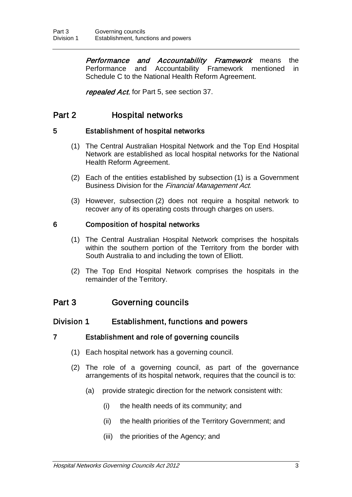**Performance and Accountability Framework** means the Performance and Accountability Framework mentioned in Schedule C to the National Health Reform Agreement.

repealed Act, for Part 5, see section 37.

# Part 2 Hospital networks

## 5 Establishment of hospital networks

- (1) The Central Australian Hospital Network and the Top End Hospital Network are established as local hospital networks for the National Health Reform Agreement.
- (2) Each of the entities established by subsection (1) is a Government Business Division for the Financial Management Act.
- (3) However, subsection (2) does not require a hospital network to recover any of its operating costs through charges on users.

# 6 Composition of hospital networks

- (1) The Central Australian Hospital Network comprises the hospitals within the southern portion of the Territory from the border with South Australia to and including the town of Elliott.
- (2) The Top End Hospital Network comprises the hospitals in the remainder of the Territory.

# Part 3 Governing councils

# Division 1 Establishment, functions and powers

## 7 Establishment and role of governing councils

- (1) Each hospital network has a governing council.
- (2) The role of a governing council, as part of the governance arrangements of its hospital network, requires that the council is to:
	- (a) provide strategic direction for the network consistent with:
		- (i) the health needs of its community; and
		- (ii) the health priorities of the Territory Government; and
		- (iii) the priorities of the Agency; and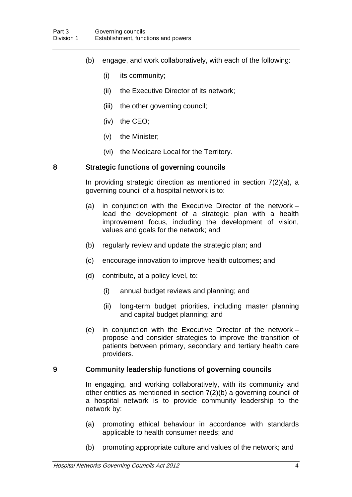- (b) engage, and work collaboratively, with each of the following:
	- (i) its community;
	- (ii) the Executive Director of its network;
	- (iii) the other governing council;
	- (iv) the CEO;
	- (v) the Minister;
	- (vi) the Medicare Local for the Territory.

#### 8 Strategic functions of governing councils

In providing strategic direction as mentioned in section 7(2)(a), a governing council of a hospital network is to:

- (a) in conjunction with the Executive Director of the network lead the development of a strategic plan with a health improvement focus, including the development of vision, values and goals for the network; and
- (b) regularly review and update the strategic plan; and
- (c) encourage innovation to improve health outcomes; and
- (d) contribute, at a policy level, to:
	- (i) annual budget reviews and planning; and
	- (ii) long-term budget priorities, including master planning and capital budget planning; and
- (e) in conjunction with the Executive Director of the network propose and consider strategies to improve the transition of patients between primary, secondary and tertiary health care providers.

#### 9 Community leadership functions of governing councils

In engaging, and working collaboratively, with its community and other entities as mentioned in section 7(2)(b) a governing council of a hospital network is to provide community leadership to the network by:

- (a) promoting ethical behaviour in accordance with standards applicable to health consumer needs; and
- (b) promoting appropriate culture and values of the network; and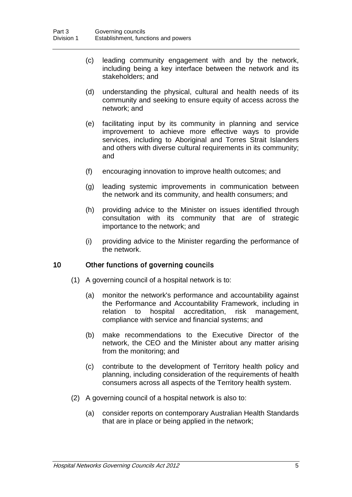- (c) leading community engagement with and by the network, including being a key interface between the network and its stakeholders; and
- (d) understanding the physical, cultural and health needs of its community and seeking to ensure equity of access across the network; and
- (e) facilitating input by its community in planning and service improvement to achieve more effective ways to provide services, including to Aboriginal and Torres Strait Islanders and others with diverse cultural requirements in its community; and
- (f) encouraging innovation to improve health outcomes; and
- (g) leading systemic improvements in communication between the network and its community, and health consumers; and
- (h) providing advice to the Minister on issues identified through consultation with its community that are of strategic importance to the network; and
- (i) providing advice to the Minister regarding the performance of the network.

### 10 Other functions of governing councils

- (1) A governing council of a hospital network is to:
	- (a) monitor the network's performance and accountability against the Performance and Accountability Framework, including in relation to hospital accreditation, risk management, compliance with service and financial systems; and
	- (b) make recommendations to the Executive Director of the network, the CEO and the Minister about any matter arising from the monitoring; and
	- (c) contribute to the development of Territory health policy and planning, including consideration of the requirements of health consumers across all aspects of the Territory health system.
- (2) A governing council of a hospital network is also to:
	- (a) consider reports on contemporary Australian Health Standards that are in place or being applied in the network;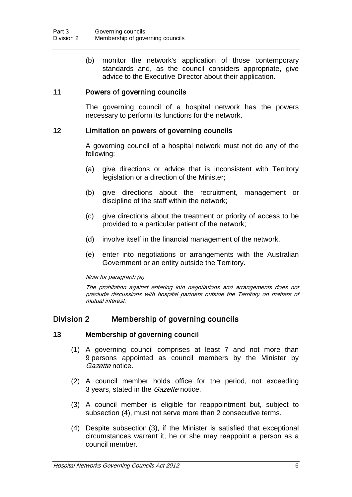(b) monitor the network's application of those contemporary standards and, as the council considers appropriate, give advice to the Executive Director about their application.

### 11 Powers of governing councils

The governing council of a hospital network has the powers necessary to perform its functions for the network.

#### 12 Limitation on powers of governing councils

A governing council of a hospital network must not do any of the following:

- (a) give directions or advice that is inconsistent with Territory legislation or a direction of the Minister;
- (b) give directions about the recruitment, management or discipline of the staff within the network;
- (c) give directions about the treatment or priority of access to be provided to a particular patient of the network;
- (d) involve itself in the financial management of the network.
- (e) enter into negotiations or arrangements with the Australian Government or an entity outside the Territory.

#### Note for paragraph (e)

The prohibition against entering into negotiations and arrangements does not preclude discussions with hospital partners outside the Territory on matters of mutual interest.

## Division 2 Membership of governing councils

#### 13 Membership of governing council

- (1) A governing council comprises at least 7 and not more than 9 persons appointed as council members by the Minister by Gazette notice.
- (2) A council member holds office for the period, not exceeding 3 years, stated in the *Gazette* notice.
- (3) A council member is eligible for reappointment but, subject to subsection (4), must not serve more than 2 consecutive terms.
- (4) Despite subsection (3), if the Minister is satisfied that exceptional circumstances warrant it, he or she may reappoint a person as a council member.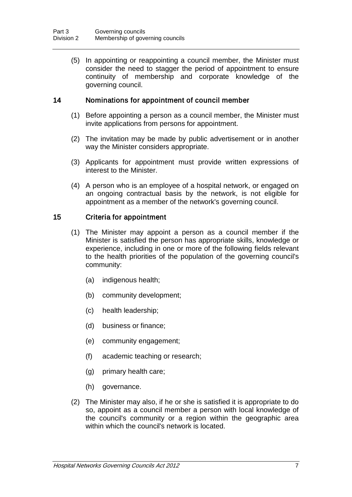(5) In appointing or reappointing a council member, the Minister must consider the need to stagger the period of appointment to ensure continuity of membership and corporate knowledge of the governing council.

### 14 Nominations for appointment of council member

- (1) Before appointing a person as a council member, the Minister must invite applications from persons for appointment.
- (2) The invitation may be made by public advertisement or in another way the Minister considers appropriate.
- (3) Applicants for appointment must provide written expressions of interest to the Minister.
- (4) A person who is an employee of a hospital network, or engaged on an ongoing contractual basis by the network, is not eligible for appointment as a member of the network's governing council.

### 15 Criteria for appointment

- (1) The Minister may appoint a person as a council member if the Minister is satisfied the person has appropriate skills, knowledge or experience, including in one or more of the following fields relevant to the health priorities of the population of the governing council's community:
	- (a) indigenous health;
	- (b) community development;
	- (c) health leadership;
	- (d) business or finance;
	- (e) community engagement;
	- (f) academic teaching or research;
	- (g) primary health care;
	- (h) governance.
- (2) The Minister may also, if he or she is satisfied it is appropriate to do so, appoint as a council member a person with local knowledge of the council's community or a region within the geographic area within which the council's network is located.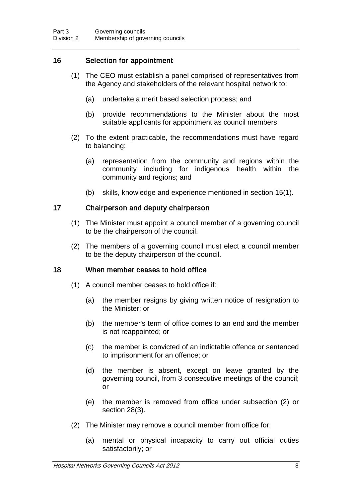# 16 Selection for appointment

- (1) The CEO must establish a panel comprised of representatives from the Agency and stakeholders of the relevant hospital network to:
	- (a) undertake a merit based selection process; and
	- (b) provide recommendations to the Minister about the most suitable applicants for appointment as council members.
- (2) To the extent practicable, the recommendations must have regard to balancing:
	- (a) representation from the community and regions within the community including for indigenous health within the community and regions; and
	- (b) skills, knowledge and experience mentioned in section 15(1).

#### 17 Chairperson and deputy chairperson

- (1) The Minister must appoint a council member of a governing council to be the chairperson of the council.
- (2) The members of a governing council must elect a council member to be the deputy chairperson of the council.

#### 18 When member ceases to hold office

- (1) A council member ceases to hold office if:
	- (a) the member resigns by giving written notice of resignation to the Minister; or
	- (b) the member's term of office comes to an end and the member is not reappointed; or
	- (c) the member is convicted of an indictable offence or sentenced to imprisonment for an offence; or
	- (d) the member is absent, except on leave granted by the governing council, from 3 consecutive meetings of the council; or
	- (e) the member is removed from office under subsection (2) or section 28(3).
- (2) The Minister may remove a council member from office for:
	- (a) mental or physical incapacity to carry out official duties satisfactorily; or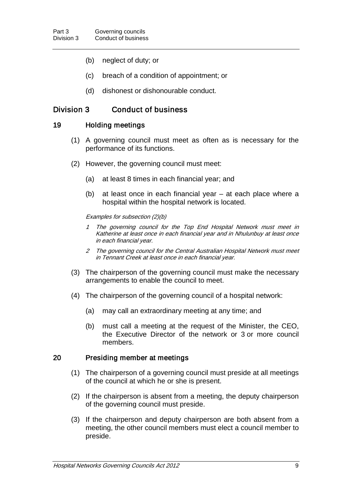- (b) neglect of duty; or
- (c) breach of a condition of appointment; or
- (d) dishonest or dishonourable conduct.

# Division 3 Conduct of business

#### 19 Holding meetings

- (1) A governing council must meet as often as is necessary for the performance of its functions.
- (2) However, the governing council must meet:
	- (a) at least 8 times in each financial year; and
	- (b) at least once in each financial year at each place where a hospital within the hospital network is located.

#### Examples for subsection (2)(b)

- The governing council for the Top End Hospital Network must meet in Katherine at least once in each financial year and in Nhulunbuy at least once in each financial year.
- 2 The governing council for the Central Australian Hospital Network must meet in Tennant Creek at least once in each financial year.
- (3) The chairperson of the governing council must make the necessary arrangements to enable the council to meet.
- (4) The chairperson of the governing council of a hospital network:
	- (a) may call an extraordinary meeting at any time; and
	- (b) must call a meeting at the request of the Minister, the CEO, the Executive Director of the network or 3 or more council members.

#### 20 Presiding member at meetings

- (1) The chairperson of a governing council must preside at all meetings of the council at which he or she is present.
- (2) If the chairperson is absent from a meeting, the deputy chairperson of the governing council must preside.
- (3) If the chairperson and deputy chairperson are both absent from a meeting, the other council members must elect a council member to preside.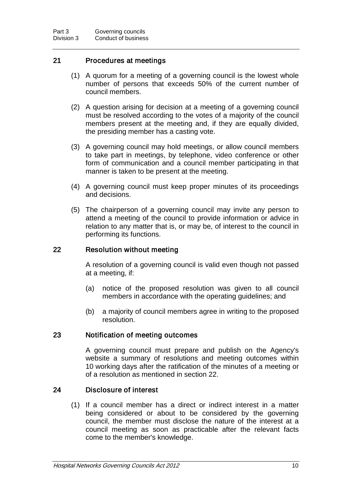### 21 Procedures at meetings

- (1) A quorum for a meeting of a governing council is the lowest whole number of persons that exceeds 50% of the current number of council members.
- (2) A question arising for decision at a meeting of a governing council must be resolved according to the votes of a majority of the council members present at the meeting and, if they are equally divided, the presiding member has a casting vote.
- (3) A governing council may hold meetings, or allow council members to take part in meetings, by telephone, video conference or other form of communication and a council member participating in that manner is taken to be present at the meeting.
- (4) A governing council must keep proper minutes of its proceedings and decisions.
- (5) The chairperson of a governing council may invite any person to attend a meeting of the council to provide information or advice in relation to any matter that is, or may be, of interest to the council in performing its functions.

#### 22 Resolution without meeting

A resolution of a governing council is valid even though not passed at a meeting, if:

- (a) notice of the proposed resolution was given to all council members in accordance with the operating guidelines; and
- (b) a majority of council members agree in writing to the proposed resolution.

#### 23 Notification of meeting outcomes

A governing council must prepare and publish on the Agency's website a summary of resolutions and meeting outcomes within 10 working days after the ratification of the minutes of a meeting or of a resolution as mentioned in section 22.

#### 24 Disclosure of interest

(1) If a council member has a direct or indirect interest in a matter being considered or about to be considered by the governing council, the member must disclose the nature of the interest at a council meeting as soon as practicable after the relevant facts come to the member's knowledge.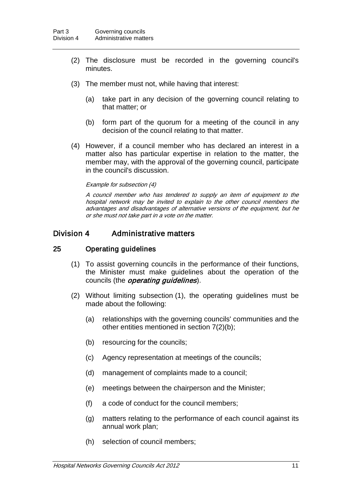- (2) The disclosure must be recorded in the governing council's minutes.
- (3) The member must not, while having that interest:
	- (a) take part in any decision of the governing council relating to that matter; or
	- (b) form part of the quorum for a meeting of the council in any decision of the council relating to that matter.
- (4) However, if a council member who has declared an interest in a matter also has particular expertise in relation to the matter, the member may, with the approval of the governing council, participate in the council's discussion.

#### Example for subsection (4)

A council member who has tendered to supply an item of equipment to the hospital network may be invited to explain to the other council members the advantages and disadvantages of alternative versions of the equipment, but he or she must not take part in a vote on the matter.

### Division 4 Administrative matters

### 25 Operating guidelines

- (1) To assist governing councils in the performance of their functions, the Minister must make guidelines about the operation of the councils (the *operating guidelines*).
- (2) Without limiting subsection (1), the operating guidelines must be made about the following:
	- (a) relationships with the governing councils' communities and the other entities mentioned in section 7(2)(b);
	- (b) resourcing for the councils;
	- (c) Agency representation at meetings of the councils;
	- (d) management of complaints made to a council;
	- (e) meetings between the chairperson and the Minister;
	- (f) a code of conduct for the council members;
	- (g) matters relating to the performance of each council against its annual work plan;
	- (h) selection of council members;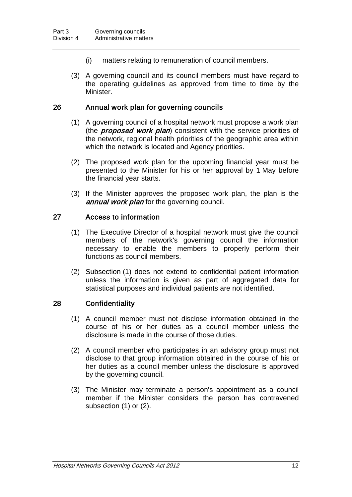- (i) matters relating to remuneration of council members.
- (3) A governing council and its council members must have regard to the operating guidelines as approved from time to time by the Minister.

#### 26 Annual work plan for governing councils

- (1) A governing council of a hospital network must propose a work plan (the *proposed work plan*) consistent with the service priorities of the network, regional health priorities of the geographic area within which the network is located and Agency priorities.
- (2) The proposed work plan for the upcoming financial year must be presented to the Minister for his or her approval by 1 May before the financial year starts.
- (3) If the Minister approves the proposed work plan, the plan is the annual work plan for the governing council.

### 27 Access to information

- (1) The Executive Director of a hospital network must give the council members of the network's governing council the information necessary to enable the members to properly perform their functions as council members.
- (2) Subsection (1) does not extend to confidential patient information unless the information is given as part of aggregated data for statistical purposes and individual patients are not identified.

#### 28 Confidentiality

- (1) A council member must not disclose information obtained in the course of his or her duties as a council member unless the disclosure is made in the course of those duties.
- (2) A council member who participates in an advisory group must not disclose to that group information obtained in the course of his or her duties as a council member unless the disclosure is approved by the governing council.
- (3) The Minister may terminate a person's appointment as a council member if the Minister considers the person has contravened subsection (1) or (2).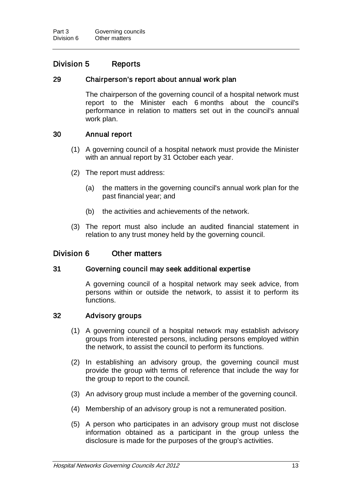# Division 5 Reports

#### 29 Chairperson's report about annual work plan

The chairperson of the governing council of a hospital network must report to the Minister each 6 months about the council's performance in relation to matters set out in the council's annual work plan.

#### 30 Annual report

- (1) A governing council of a hospital network must provide the Minister with an annual report by 31 October each year.
- (2) The report must address:
	- (a) the matters in the governing council's annual work plan for the past financial year; and
	- (b) the activities and achievements of the network.
- (3) The report must also include an audited financial statement in relation to any trust money held by the governing council.

#### Division 6 Other matters

#### 31 Governing council may seek additional expertise

A governing council of a hospital network may seek advice, from persons within or outside the network, to assist it to perform its functions.

#### 32 Advisory groups

- (1) A governing council of a hospital network may establish advisory groups from interested persons, including persons employed within the network, to assist the council to perform its functions.
- (2) In establishing an advisory group, the governing council must provide the group with terms of reference that include the way for the group to report to the council.
- (3) An advisory group must include a member of the governing council.
- (4) Membership of an advisory group is not a remunerated position.
- (5) A person who participates in an advisory group must not disclose information obtained as a participant in the group unless the disclosure is made for the purposes of the group's activities.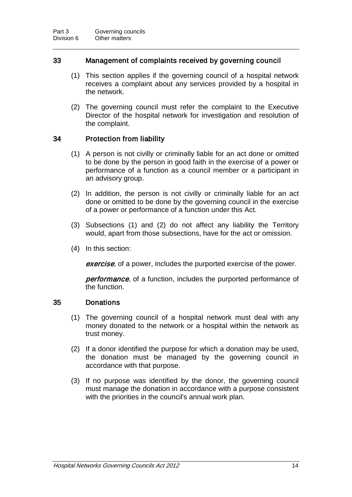### 33 Management of complaints received by governing council

- (1) This section applies if the governing council of a hospital network receives a complaint about any services provided by a hospital in the network.
- (2) The governing council must refer the complaint to the Executive Director of the hospital network for investigation and resolution of the complaint.

## 34 Protection from liability

- (1) A person is not civilly or criminally liable for an act done or omitted to be done by the person in good faith in the exercise of a power or performance of a function as a council member or a participant in an advisory group.
- (2) In addition, the person is not civilly or criminally liable for an act done or omitted to be done by the governing council in the exercise of a power or performance of a function under this Act.
- (3) Subsections (1) and (2) do not affect any liability the Territory would, apart from those subsections, have for the act or omission.
- (4) In this section:

**exercise**, of a power, includes the purported exercise of the power.

**performance**, of a function, includes the purported performance of the function.

#### 35 Donations

- (1) The governing council of a hospital network must deal with any money donated to the network or a hospital within the network as trust money.
- (2) If a donor identified the purpose for which a donation may be used, the donation must be managed by the governing council in accordance with that purpose.
- (3) If no purpose was identified by the donor, the governing council must manage the donation in accordance with a purpose consistent with the priorities in the council's annual work plan.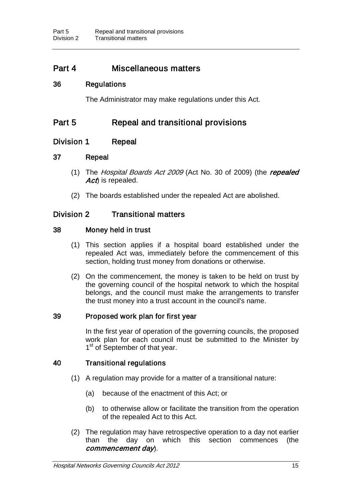# Part 4 Miscellaneous matters

### 36 Regulations

The Administrator may make regulations under this Act.

# Part 5 Repeal and transitional provisions

## Division 1 Repeal

### 37 Repeal

- (1) The Hospital Boards Act 2009 (Act No. 30 of 2009) (the repealed Act) is repealed.
- (2) The boards established under the repealed Act are abolished.

# Division 2 Transitional matters

### 38 Money held in trust

- (1) This section applies if a hospital board established under the repealed Act was, immediately before the commencement of this section, holding trust money from donations or otherwise.
- (2) On the commencement, the money is taken to be held on trust by the governing council of the hospital network to which the hospital belongs, and the council must make the arrangements to transfer the trust money into a trust account in the council's name.

### 39 Proposed work plan for first year

In the first year of operation of the governing councils, the proposed work plan for each council must be submitted to the Minister by 1<sup>st</sup> of September of that year.

#### 40 Transitional regulations

- (1) A regulation may provide for a matter of a transitional nature:
	- (a) because of the enactment of this Act; or
	- (b) to otherwise allow or facilitate the transition from the operation of the repealed Act to this Act.
- (2) The regulation may have retrospective operation to a day not earlier than the day on which this section commences (the commencement day).